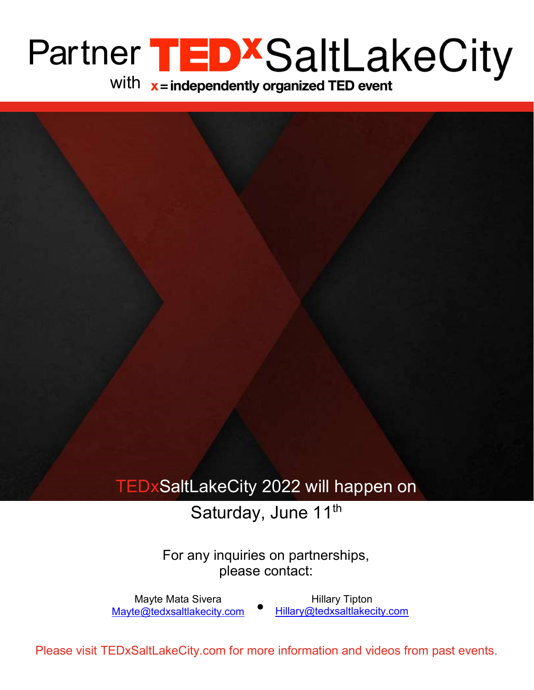# Partner with

i<br>L

### TEDxSaltLakeCity 2022 will happen on

#### Saturday, June 11<sup>th</sup>

For any inquiries on partnerships, please contact:

Hillary Tipton Hillary@tedxsaltlakecity.com Mayte Mata Sivera Mayte@tedxsaltlakecity.com

Please visit TEDxSaltLakeCity.com for more information and videos from past events.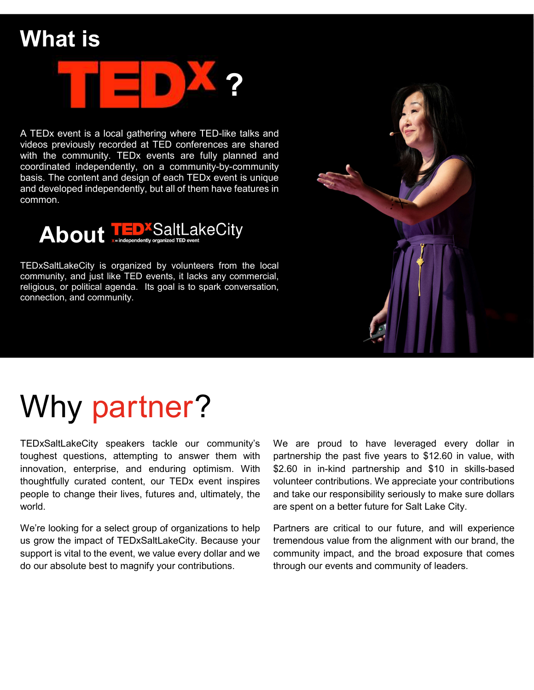## What is

l



A TEDx event is a local gathering where TED-like talks and videos previously recorded at TED conferences are shared with the community. TEDx events are fully planned and coordinated independently, on a community-by-community basis. The content and design of each TEDx event is unique and developed independently, but all of them have features in common.



TEDxSaltLakeCity is organized by volunteers from the local community, and just like TED events, it lacks any commercial, religious, or political agenda. Its goal is to spark conversation, connection, and community.



# Why partner?

TEDxSaltLakeCity speakers tackle our community's toughest questions, attempting to answer them with innovation, enterprise, and enduring optimism. With thoughtfully curated content, our TEDx event inspires people to change their lives, futures and, ultimately, the world.

We're looking for a select group of organizations to help us grow the impact of TEDxSaltLakeCity. Because your support is vital to the event, we value every dollar and we do our absolute best to magnify your contributions.

We are proud to have leveraged every dollar in partnership the past five years to \$12.60 in value, with \$2.60 in in-kind partnership and \$10 in skills-based volunteer contributions. We appreciate your contributions and take our responsibility seriously to make sure dollars are spent on a better future for Salt Lake City.

Partners are critical to our future, and will experience tremendous value from the alignment with our brand, the community impact, and the broad exposure that comes through our events and community of leaders.